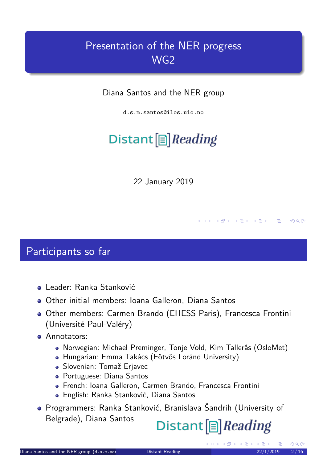### Presentation of the NER progress WG2

Diana Santos and the NER group

d.s.m.santos@ilos.uio.no

# Distant  $[\equiv]$  Reading

22 January 2019

#### Participants so far

- Leader: Ranka Stanković
- Other initial members: Ioana Galleron, Diana Santos
- <span id="page-0-0"></span>Other members: Carmen Brando (EHESS Paris), Francesca Frontini (Université Paul-Valéry)
- **Annotators:** 
	- Norwegian: Michael Preminger, Tonje Vold, Kim Tallerås (OsloMet)
	- Hungarian: Emma Takács (Eötvös Loránd University)
	- Slovenian: Tomaž Erjavec
	- Portuguese: Diana Santos
	- French: Ioana Galleron, Carmen Brando, Francesca Frontini
	- English: Ranka Stanković, Diana Santos
- Programmers: Ranka Stanković, Branislava Šandrih (University of Belgrade), Diana Santos

### Distant<sup>[</sup>]*Reading*

**←ロト ← 伊 ト**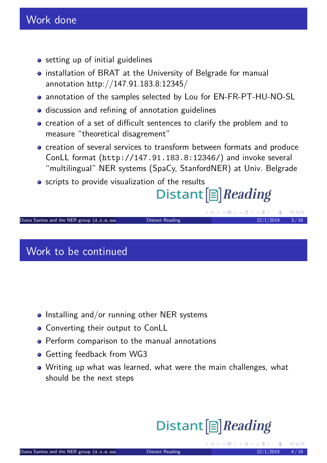- setting up of initial guidelines
- installation of BRAT at the University of Belgrade for manual annotation http://147.91.183.8:12345/
- annotation of the samples selected by Lou for EN-FR-PT-HU-NO-SL
- discussion and refining of annotation guidelines
- creation of a set of difficult sentences to clarify the problem and to measure "theoretical disagrement"
- creation of several services to transform between formats and produce ConLL format (http://147.91.183.8:12346/) and invoke several "multilingual" NER systems (SpaCy, StanfordNER) at Univ. Belgrade
- **•** scripts to provide visualization of the results

# Distant  $[\equiv]$  Reading

Diana Santos and the NER group  $(d.s.m.sa$  Distant Reading 22/1/2019  $3/16$ 

#### Work to be continued

- <span id="page-1-0"></span> $\bullet$  Installing and/or running other NER systems
- Converting their output to ConLL
- **•** Perform comparison to the manual annotations
- **Getting feedback from WG3**
- [W](h)riting up what was learned, what were the main challenges, what should be the next steps

# Distant<sup>[</sup>]*Reading*

**←□▶ ← 何 ▶** 

 $QQ$ 

K 평 ▶ K 평 ▶ ○ 평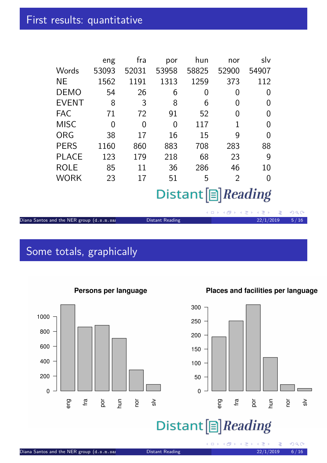|              | eng   | fra      | por   | hun   | nor            | slv      |
|--------------|-------|----------|-------|-------|----------------|----------|
| Words        | 53093 | 52031    | 53958 | 58825 | 52900          | 54907    |
| ΝE           | 1562  | 1191     | 1313  | 1259  | 373            | 112      |
| <b>DEMO</b>  | 54    | 26       | 6     | 0     | 0              | $\Omega$ |
| <b>EVENT</b> | 8     | 3        | 8     | 6     | 0              | 0        |
| <b>FAC</b>   | 71    | 72       | 91    | 52    | 0              | $\Omega$ |
| <b>MISC</b>  | 0     | $\Omega$ | 0     | 117   | 1              | $\Omega$ |
| <b>ORG</b>   | 38    | 17       | 16    | 15    | 9              | 0        |
| <b>PERS</b>  | 1160  | 860      | 883   | 708   | 283            | 88       |
| <b>PLACE</b> | 123   | 179      | 218   | 68    | 23             | 9        |
| <b>ROLE</b>  | 85    | 11       | 36    | 286   | 46             | 10       |
| <b>WORK</b>  | 23    | 17       | 51    | 5     | $\overline{2}$ | 0        |
|              |       |          |       |       |                |          |

### Distant [B] Reading

|                                           |                 | - ◀ ロ ▶ ◀ @P ▶ ◀ <i>로</i> ▶ ◀ <i>로</i> ▶ │ <i>로</i> │ <i>¥</i> ) Q ( |  |
|-------------------------------------------|-----------------|----------------------------------------------------------------------|--|
| Diana Santos and the NER group (d.s.m.sai | Distant Reading | $22/1/2019$ 5/16                                                     |  |

### Some totals, graphically

<span id="page-2-0"></span>

#### Persons per language

#### Places and facilities per language

 $\circ$ 



(ロ) (包)

 $\Omega$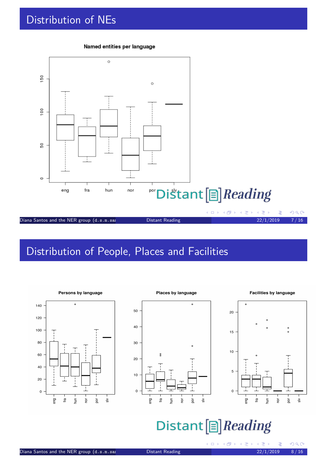### Distribution of NEs



#### Named entities per language

#### Distribution of People, Places and Facilities

<span id="page-3-0"></span>







### Distant<sup>[</sup>]*Reading*

÷

 $\Omega$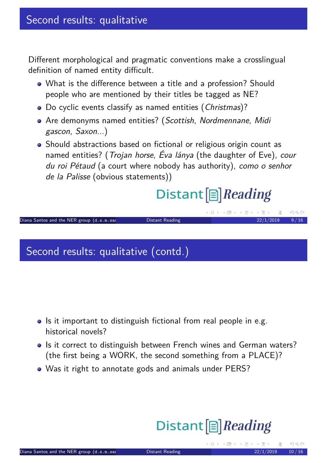Different morphological and pragmatic conventions make a crosslingual definition of named entity difficult.

- What is the difference between a title and a profession? Should people who are mentioned by their titles be tagged as NE?
- Do cyclic events classify as named entities (Christmas)?
- Are demonyms named entities? (Scottish, Nordmennane, Midi gascon, Saxon...)
- Should abstractions based on fictional or religious origin count as named entities? (*Trojan horse, Éva lánya* (the daughter of Eve), cour du roi Pétaud (a court where nobody has authority), como o senhor de la Palisse (obvious statements))

# Distant  $[\equiv]$  Reading

K ロ ▶ K @ ▶ K 할 ▶ K 할 ▶ .. 할  $QQ$ Diana Santos and the NER group  $(d.s.m.sa$  Distant Reading 22/1/2019  $9/16$ 

#### Second results: qualitative (contd.)

- <span id="page-4-0"></span>• Is it important to distinguish fictional from real people in e.g. historical novels?
- Is it correct to distinguish between French wines and German waters? (the first being a WORK, the second something from a PLACE)?
- Was it right to annotate gods and animals under PERS?

# Distant<sup>[</sup>]*Reading*

(□ ) ( ) ( ) ( ) = )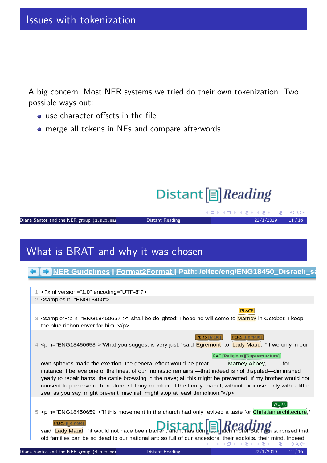A big concern. Most NER systems we tried do their own tokenization. Two possible ways out:

- use character offsets in the file
- merge all tokens in NEs and compare afterwords

# Distant<sup>[</sup>]*Reading*

**←ロ ▶ ← 日 ▶** 

Diana Santos and the NER group  $(d.s.m.sa)$  Distant Reading 22/1/2019 11/16

### What is BRAT and why it was chosen

#### ← NER Guidelines | Format2Format | Path: /eltec/eng/ENG18450\_Disraeli\_sa

<span id="page-5-0"></span>

|                | xml version="1.0" encoding="UTF-8"?                                                                                                                                                                                                                                                                                                                                                                                   |
|----------------|-----------------------------------------------------------------------------------------------------------------------------------------------------------------------------------------------------------------------------------------------------------------------------------------------------------------------------------------------------------------------------------------------------------------------|
|                | <samples n="ENG18450"></samples>                                                                                                                                                                                                                                                                                                                                                                                      |
| 3              | <b>PLACE</b><br><sample><p n="ENG18450657">"I shall be delighted; I hope he will come to Marney in October. I keep<br/>the blue ribbon cover for him."</p></sample>                                                                                                                                                                                                                                                   |
|                | <b>PERS [Male]</b><br><b>PERS [Female]</b><br><p n="ENG18450658">"What you suggest is very just," said Egremont to Lady Maud. "If we only in our</p>                                                                                                                                                                                                                                                                  |
|                | <b>FAC [Religious][Suprastructure]</b>                                                                                                                                                                                                                                                                                                                                                                                |
|                | own spheres made the exertion, the general effect would be great.<br>Marney Abbey.<br>for                                                                                                                                                                                                                                                                                                                             |
|                | instance, I believe one of the finest of our monastic remains,—that indeed is not disputed—diminished<br>yearly to repair barns; the cattle browsing in the nave; all this might be prevented, If my brother would not<br>consent to preserve or to restore, still any member of the family, even I, without expense, only with a little<br>zeal as you say, might prevent mischief, might stop at least demolition." |
| 5 <sup>1</sup> | <b>WORK</b><br><p n="ENG18450659">"If this movement in the church had only revived a taste for <i>Christian architecture</i>,"</p>                                                                                                                                                                                                                                                                                    |
|                | <b>PERS [Female]</b><br>said Lady Maud, "it would not have been barren, and it has done <b>English Acading</b> surprised that                                                                                                                                                                                                                                                                                         |
|                | old families can be so dead to our national art; so full of our ancestors, their exploits, their mind. Indeed                                                                                                                                                                                                                                                                                                         |
|                | 医电影医电影<br>三 つくひ                                                                                                                                                                                                                                                                                                                                                                                                       |

K 로베 K 로베 - 로비 KO Q Q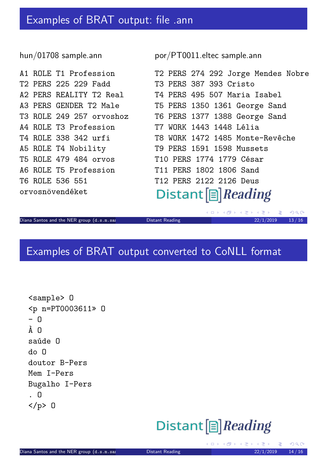#### hun/01708 sample.ann

A1 ROLE T1 Pr T2 PERS 225 2 A2 PERS REALI A3 PERS GENDE T3 ROLE 249 2 A4 ROLE T3 Pr T4 ROLE 338 3 A5 ROLE T4 No T5 ROLE 479 4 A6 ROLE T5 Pr T6 ROLE 536 5 orvosnövendék por/PT0011.eltec sample.ann

| ofession             | T2 PERS 274 292 Jorge Mendes Nobre              |
|----------------------|-------------------------------------------------|
| 29 Fadd i Santa Sala | T3 PERS 387 393 Cristo                          |
|                      | TY T2 Real        T4 PERS 495 507 Maria Isabel  |
|                      | R T2 Male         T5 PERS 1350 1361 George Sand |
|                      | 57 orvoshoz T6 PERS 1377 1388 George Sand       |
| ofession             | T7 WORK 1443 1448 Lélia                         |
| 42 urfi              | T8 WORK 1472 1485 Monte-Revêche                 |
| bility               | T9 PERS 1591 1598 Mussets                       |
| 84 orvos             | T10 PERS 1774 1779 César                        |
| ofession             | T11 PERS 1802 1806 Sand                         |
| 51                   | T12 PERS 2122 2126 Deus                         |
| et                   | Distant $\boxed{\triangleright}$ <i>Reading</i> |

Diana Santos and the NER group  $(d.s.m.sa$  Distant Reading 22000 22/1/2019 13/16

K ロ → K 伊 → K 로 → K 로 → C 로 → K Q Q Q →

### Examples of BRAT output converted to CoNLL format

```
<sample> O
<p n=PT0003611» O
- \OmegaÀ N
saúde O
do O
doutor B-Pers
Mem I-Pers
Bugalho I-Pers
. O
</p> O
```
### Distant<sup>[</sup>]*Reading*